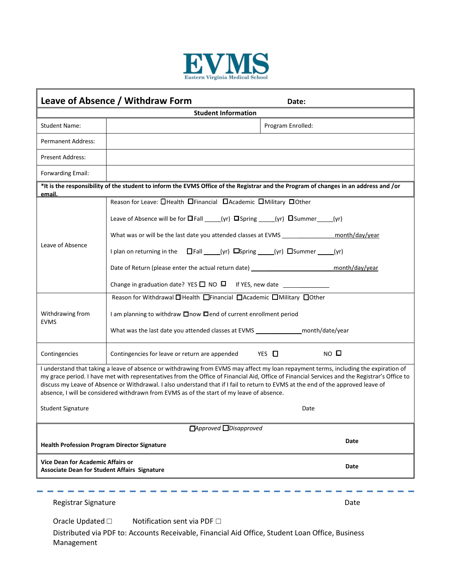

| Leave of Absence / Withdraw Form                                                                                                                                                                                                                                                                                                                                                                                                                                                                                        |                                                                                                                                                                                                                                                                                                                                                                                                                                                                                                                                                                                      | Date:                            |  |  |
|-------------------------------------------------------------------------------------------------------------------------------------------------------------------------------------------------------------------------------------------------------------------------------------------------------------------------------------------------------------------------------------------------------------------------------------------------------------------------------------------------------------------------|--------------------------------------------------------------------------------------------------------------------------------------------------------------------------------------------------------------------------------------------------------------------------------------------------------------------------------------------------------------------------------------------------------------------------------------------------------------------------------------------------------------------------------------------------------------------------------------|----------------------------------|--|--|
|                                                                                                                                                                                                                                                                                                                                                                                                                                                                                                                         | <b>Student Information</b>                                                                                                                                                                                                                                                                                                                                                                                                                                                                                                                                                           |                                  |  |  |
| <b>Student Name:</b>                                                                                                                                                                                                                                                                                                                                                                                                                                                                                                    |                                                                                                                                                                                                                                                                                                                                                                                                                                                                                                                                                                                      | Program Enrolled:                |  |  |
| Permanent Address:                                                                                                                                                                                                                                                                                                                                                                                                                                                                                                      |                                                                                                                                                                                                                                                                                                                                                                                                                                                                                                                                                                                      |                                  |  |  |
| <b>Present Address:</b>                                                                                                                                                                                                                                                                                                                                                                                                                                                                                                 |                                                                                                                                                                                                                                                                                                                                                                                                                                                                                                                                                                                      |                                  |  |  |
| Forwarding Email:                                                                                                                                                                                                                                                                                                                                                                                                                                                                                                       |                                                                                                                                                                                                                                                                                                                                                                                                                                                                                                                                                                                      |                                  |  |  |
| *It is the responsibility of the student to inform the EVMS Office of the Registrar and the Program of changes in an address and /or<br>email.                                                                                                                                                                                                                                                                                                                                                                          |                                                                                                                                                                                                                                                                                                                                                                                                                                                                                                                                                                                      |                                  |  |  |
| Leave of Absence<br>Withdrawing from<br><b>EVMS</b>                                                                                                                                                                                                                                                                                                                                                                                                                                                                     | Reason for Leave: <b>O</b> Health OFinancial DAcademic OMilitary OOther<br>Leave of Absence will be for <b>O</b> Fall _____(yr) □ Spring _____(yr) □ Summer _____(yr)<br>What was or will be the last date you attended classes at EVMS _________________<br>I plan on returning in the □Fall ____(yr) □Spring ____(yr) □Summer _____(yr)<br>Date of Return (please enter the actual return date) ___________________________<br>Reason for Withdrawal DHealth DFinancial DAcademic DMilitary DOther<br>I am planning to withdraw $\Box$ now $\Box$ end of current enrollment period | month/day/year<br>month/day/year |  |  |
|                                                                                                                                                                                                                                                                                                                                                                                                                                                                                                                         | What was the last date you attended classes at EVMS __________________ month/date/year                                                                                                                                                                                                                                                                                                                                                                                                                                                                                               |                                  |  |  |
| Contingencies                                                                                                                                                                                                                                                                                                                                                                                                                                                                                                           | Contingencies for leave or return are appended                                                                                                                                                                                                                                                                                                                                                                                                                                                                                                                                       | $NO$ $D$<br>YES □                |  |  |
| I understand that taking a leave of absence or withdrawing from EVMS may affect my loan repayment terms, including the expiration of<br>my grace period. I have met with representatives from the Office of Financial Aid, Office of Financial Services and the Registrar's Office to<br>discuss my Leave of Absence or Withdrawal. I also understand that if I fail to return to EVMS at the end of the approved leave of<br>absence, I will be considered withdrawn from EVMS as of the start of my leave of absence. |                                                                                                                                                                                                                                                                                                                                                                                                                                                                                                                                                                                      |                                  |  |  |
| <b>Student Signature</b><br>Date                                                                                                                                                                                                                                                                                                                                                                                                                                                                                        |                                                                                                                                                                                                                                                                                                                                                                                                                                                                                                                                                                                      |                                  |  |  |
| □Approved □Disapproved                                                                                                                                                                                                                                                                                                                                                                                                                                                                                                  |                                                                                                                                                                                                                                                                                                                                                                                                                                                                                                                                                                                      |                                  |  |  |
| Date<br><b>Health Profession Program Director Signature</b>                                                                                                                                                                                                                                                                                                                                                                                                                                                             |                                                                                                                                                                                                                                                                                                                                                                                                                                                                                                                                                                                      |                                  |  |  |
| Vice Dean for Academic Affairs or<br>Date<br><b>Associate Dean for Student Affairs Signature</b>                                                                                                                                                                                                                                                                                                                                                                                                                        |                                                                                                                                                                                                                                                                                                                                                                                                                                                                                                                                                                                      |                                  |  |  |
|                                                                                                                                                                                                                                                                                                                                                                                                                                                                                                                         |                                                                                                                                                                                                                                                                                                                                                                                                                                                                                                                                                                                      |                                  |  |  |
| Registrar Signature                                                                                                                                                                                                                                                                                                                                                                                                                                                                                                     |                                                                                                                                                                                                                                                                                                                                                                                                                                                                                                                                                                                      | Date                             |  |  |
| Notification sent via PDF □<br>Oracle Updated □                                                                                                                                                                                                                                                                                                                                                                                                                                                                         |                                                                                                                                                                                                                                                                                                                                                                                                                                                                                                                                                                                      |                                  |  |  |

Distributed via PDF to: Accounts Receivable, Financial Aid Office, Student Loan Office, Business Management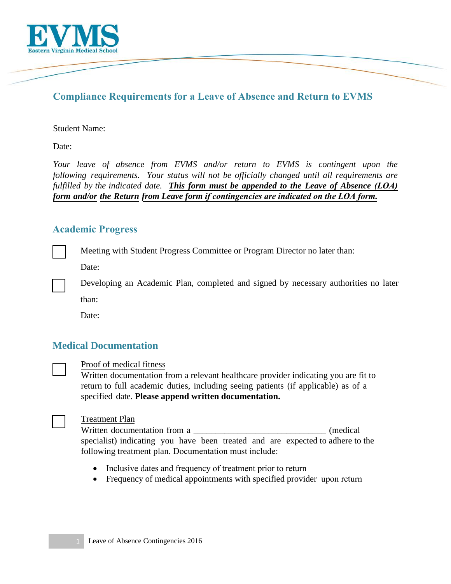

# **Compliance Requirements for a Leave of Absence and Return to EVMS**

#### Student Name:

Date:

*Your leave of absence from EVMS and/or return to EVMS is contingent upon the following requirements. Your status will not be officially changed until all requirements are fulfilled by the indicated date. This form must be appended to the Leave of Absence (LOA) form and/or the Return from Leave form if contingencies are indicated on the LOA form.*

### **Academic Progress**

Meeting with Student Progress Committee or Program Director no later than:

Date:

Developing an Academic Plan, completed and signed by necessary authorities no later than:

Date:

## **Medical Documentation**



#### Proof of medical fitness

Written documentation from a relevant healthcare provider indicating you are fit to return to full academic duties, including seeing patients (if applicable) as of a specified date. **Please append written documentation.** 



### Treatment Plan

Written documentation from a  $(median)$ specialist) indicating you have been treated and are expected to adhere to the following treatment plan. Documentation must include:

- Inclusive dates and frequency of treatment prior to return
- Frequency of medical appointments with specified provider upon return